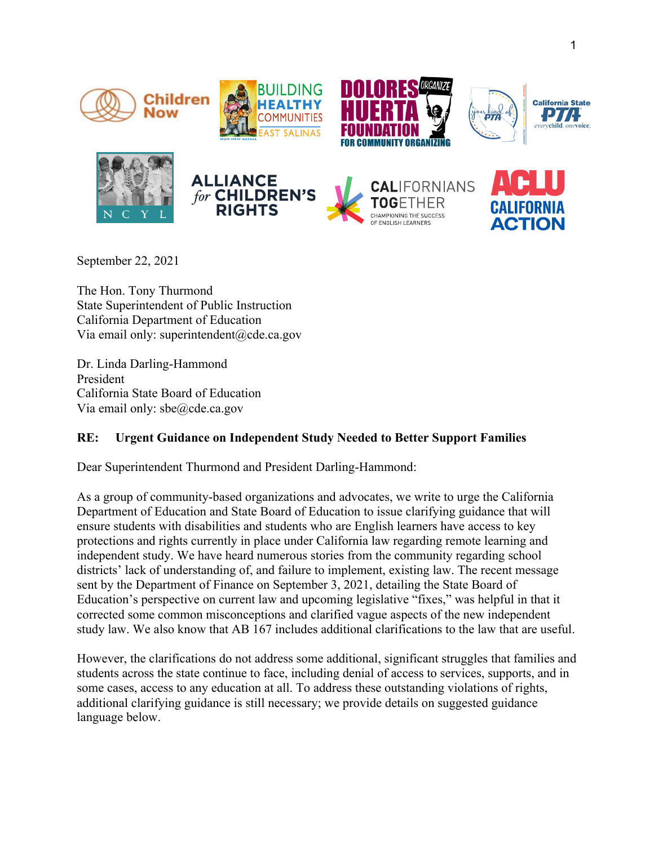











**CALIFORNIANS** CHAMPIONING THE SUCCESS



September 22, 2021

The Hon. Tony Thurmond State Superintendent of Public Instruction California Department of Education Via email only: superintendent@cde.ca.gov

Dr. Linda Darling-Hammond President California State Board of Education Via email only: sbe@cde.ca.gov

## **RE: Urgent Guidance on Independent Study Needed to Better Support Families**

Dear Superintendent Thurmond and President Darling-Hammond:

As a group of community-based organizations and advocates, we write to urge the California Department of Education and State Board of Education to issue clarifying guidance that will ensure students with disabilities and students who are English learners have access to key protections and rights currently in place under California law regarding remote learning and independent study. We have heard numerous stories from the community regarding school districts' lack of understanding of, and failure to implement, existing law. The recent message sent by the Department of Finance on September 3, 2021, detailing the State Board of Education's perspective on current law and upcoming legislative "fixes," was helpful in that it corrected some common misconceptions and clarified vague aspects of the new independent study law. We also know that AB 167 includes additional clarifications to the law that are useful.

However, the clarifications do not address some additional, significant struggles that families and students across the state continue to face, including denial of access to services, supports, and in some cases, access to any education at all. To address these outstanding violations of rights, additional clarifying guidance is still necessary; we provide details on suggested guidance language below.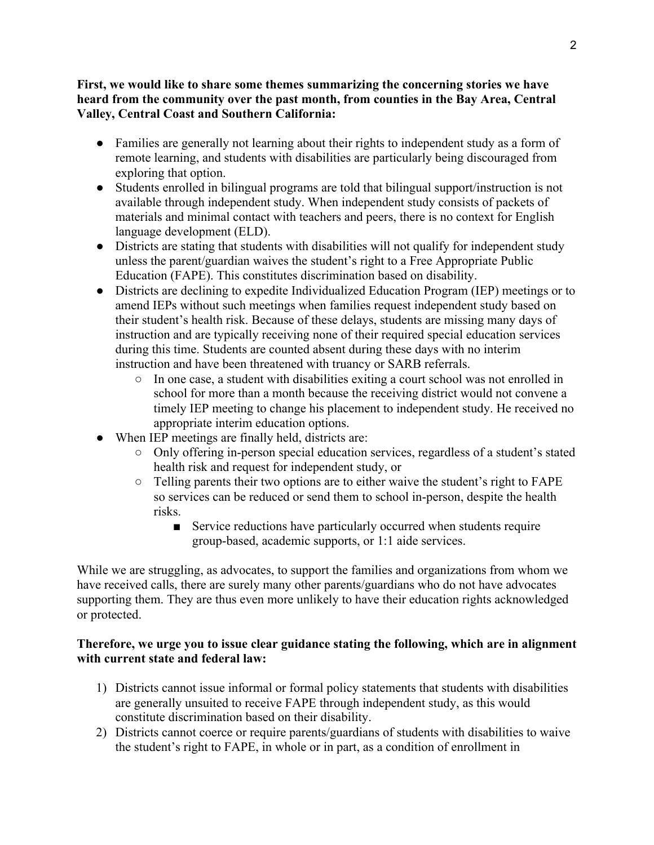## **First, we would like to share some themes summarizing the concerning stories we have heard from the community over the past month, from counties in the Bay Area, Central Valley, Central Coast and Southern California:**

- Families are generally not learning about their rights to independent study as a form of remote learning, and students with disabilities are particularly being discouraged from exploring that option.
- Students enrolled in bilingual programs are told that bilingual support/instruction is not available through independent study. When independent study consists of packets of materials and minimal contact with teachers and peers, there is no context for English language development (ELD).
- Districts are stating that students with disabilities will not qualify for independent study unless the parent/guardian waives the student's right to a Free Appropriate Public Education (FAPE). This constitutes discrimination based on disability.
- Districts are declining to expedite Individualized Education Program (IEP) meetings or to amend IEPs without such meetings when families request independent study based on their student's health risk. Because of these delays, students are missing many days of instruction and are typically receiving none of their required special education services during this time. Students are counted absent during these days with no interim instruction and have been threatened with truancy or SARB referrals.
	- In one case, a student with disabilities exiting a court school was not enrolled in school for more than a month because the receiving district would not convene a timely IEP meeting to change his placement to independent study. He received no appropriate interim education options.
- When IEP meetings are finally held, districts are:
	- Only offering in-person special education services, regardless of a student's stated health risk and request for independent study, or
	- Telling parents their two options are to either waive the student's right to FAPE so services can be reduced or send them to school in-person, despite the health risks.
		- Service reductions have particularly occurred when students require group-based, academic supports, or 1:1 aide services.

While we are struggling, as advocates, to support the families and organizations from whom we have received calls, there are surely many other parents/guardians who do not have advocates supporting them. They are thus even more unlikely to have their education rights acknowledged or protected.

## **Therefore, we urge you to issue clear guidance stating the following, which are in alignment with current state and federal law:**

- 1) Districts cannot issue informal or formal policy statements that students with disabilities are generally unsuited to receive FAPE through independent study, as this would constitute discrimination based on their disability.
- 2) Districts cannot coerce or require parents/guardians of students with disabilities to waive the student's right to FAPE, in whole or in part, as a condition of enrollment in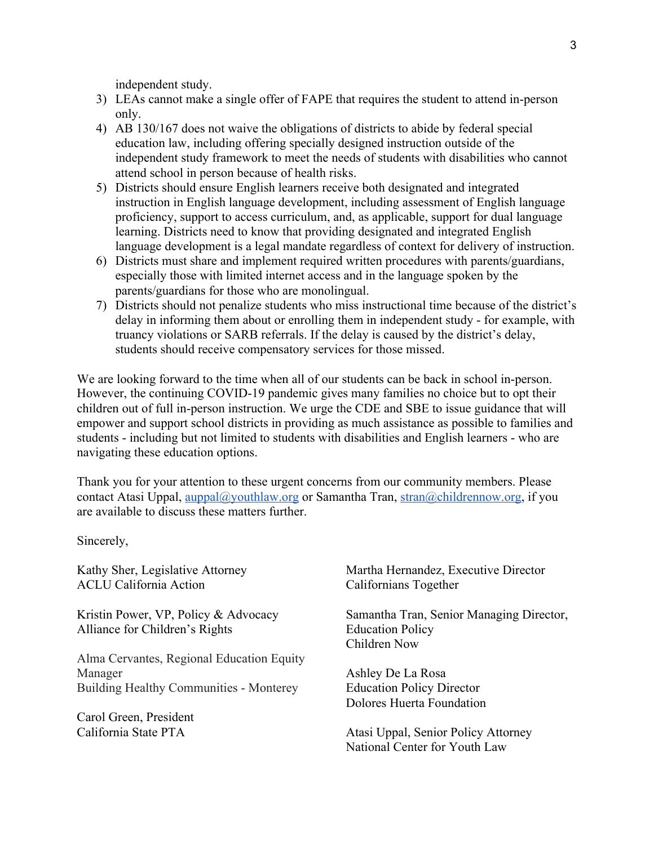independent study.

- 3) LEAs cannot make a single offer of FAPE that requires the student to attend in-person only.
- 4) AB 130/167 does not waive the obligations of districts to abide by federal special education law, including offering specially designed instruction outside of the independent study framework to meet the needs of students with disabilities who cannot attend school in person because of health risks.
- 5) Districts should ensure English learners receive both designated and integrated instruction in English language development, including assessment of English language proficiency, support to access curriculum, and, as applicable, support for dual language learning. Districts need to know that providing designated and integrated English language development is a legal mandate regardless of context for delivery of instruction.
- 6) Districts must share and implement required written procedures with parents/guardians, especially those with limited internet access and in the language spoken by the parents/guardians for those who are monolingual.
- 7) Districts should not penalize students who miss instructional time because of the district's delay in informing them about or enrolling them in independent study - for example, with truancy violations or SARB referrals. If the delay is caused by the district's delay, students should receive compensatory services for those missed.

We are looking forward to the time when all of our students can be back in school in-person. However, the continuing COVID-19 pandemic gives many families no choice but to opt their children out of full in-person instruction. We urge the CDE and SBE to issue guidance that will empower and support school districts in providing as much assistance as possible to families and students - including but not limited to students with disabilities and English learners - who are navigating these education options.

Thank you for your attention to these urgent concerns from our community members. Please contact Atasi Uppal,  $\frac{\text{augpal}(a)}{\text{eval}(a)}$  authors or Samantha Tran,  $\frac{\text{stran}(a)}{\text{eval}(a)}$ childrennow.org, if you are available to discuss these matters further.

Sincerely,

Kathy Sher, Legislative Attorney ACLU California Action

Kristin Power, VP, Policy & Advocacy Alliance for Children's Rights

Alma Cervantes, Regional Education Equity Manager Building Healthy Communities - Monterey

Carol Green, President California State PTA

Martha Hernandez, Executive Director Californians Together

Samantha Tran, Senior Managing Director, Education Policy Children Now

Ashley De La Rosa Education Policy Director Dolores Huerta Foundation

Atasi Uppal, Senior Policy Attorney National Center for Youth Law